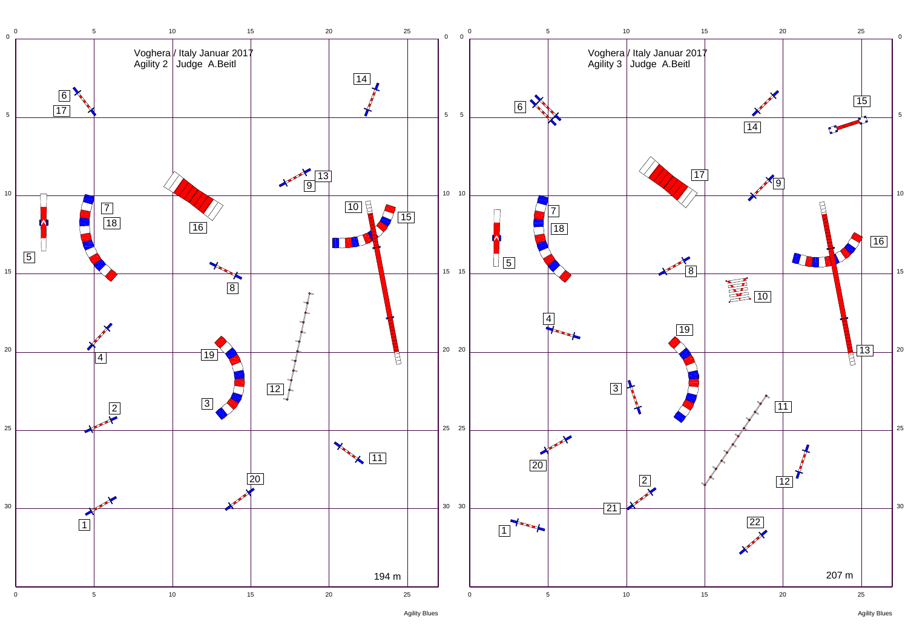